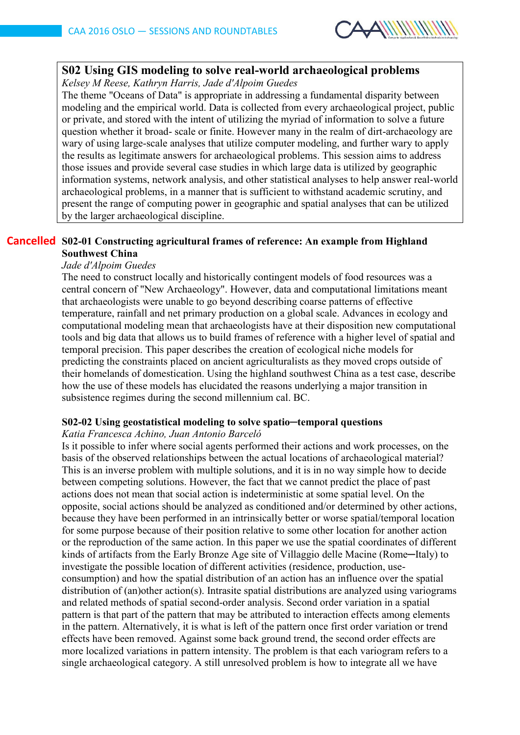

# **S02 Using GIS modeling to solve real-world archaeological problems**

*Kelsey M Reese, Kathryn Harris, Jade d'Alpoim Guedes*

The theme "Oceans of Data" is appropriate in addressing a fundamental disparity between modeling and the empirical world. Data is collected from every archaeological project, public or private, and stored with the intent of utilizing the myriad of information to solve a future question whether it broad- scale or finite. However many in the realm of dirt-archaeology are wary of using large-scale analyses that utilize computer modeling, and further wary to apply the results as legitimate answers for archaeological problems. This session aims to address those issues and provide several case studies in which large data is utilized by geographic information systems, network analysis, and other statistical analyses to help answer real-world archaeological problems, in a manner that is sufficient to withstand academic scrutiny, and present the range of computing power in geographic and spatial analyses that can be utilized by the larger archaeological discipline.

# **S02-01 Constructing agricultural frames of reference: An example from Highland CancelledSouthwest China**

# *Jade d'Alpoim Guedes*

The need to construct locally and historically contingent models of food resources was a central concern of "New Archaeology". However, data and computational limitations meant that archaeologists were unable to go beyond describing coarse patterns of effective temperature, rainfall and net primary production on a global scale. Advances in ecology and computational modeling mean that archaeologists have at their disposition new computational tools and big data that allows us to build frames of reference with a higher level of spatial and temporal precision. This paper describes the creation of ecological niche models for predicting the constraints placed on ancient agriculturalists as they moved crops outside of their homelands of domestication. Using the highland southwest China as a test case, describe how the use of these models has elucidated the reasons underlying a major transition in subsistence regimes during the second millennium cal. BC.

### **S02-02 Using geostatistical modeling to solve spatio─temporal questions**

### *Katia Francesca Achino, Juan Antonio Barceló*

Is it possible to infer where social agents performed their actions and work processes, on the basis of the observed relationships between the actual locations of archaeological material? This is an inverse problem with multiple solutions, and it is in no way simple how to decide between competing solutions. However, the fact that we cannot predict the place of past actions does not mean that social action is indeterministic at some spatial level. On the opposite, social actions should be analyzed as conditioned and/or determined by other actions, because they have been performed in an intrinsically better or worse spatial/temporal location for some purpose because of their position relative to some other location for another action or the reproduction of the same action. In this paper we use the spatial coordinates of different kinds of artifacts from the Early Bronze Age site of Villaggio delle Macine (Rome—Italy) to investigate the possible location of different activities (residence, production, useconsumption) and how the spatial distribution of an action has an influence over the spatial distribution of (an)other action(s). Intrasite spatial distributions are analyzed using variograms and related methods of spatial second-order analysis. Second order variation in a spatial pattern is that part of the pattern that may be attributed to interaction effects among elements in the pattern. Alternatively, it is what is left of the pattern once first order variation or trend effects have been removed. Against some back ground trend, the second order effects are more localized variations in pattern intensity. The problem is that each variogram refers to a single archaeological category. A still unresolved problem is how to integrate all we have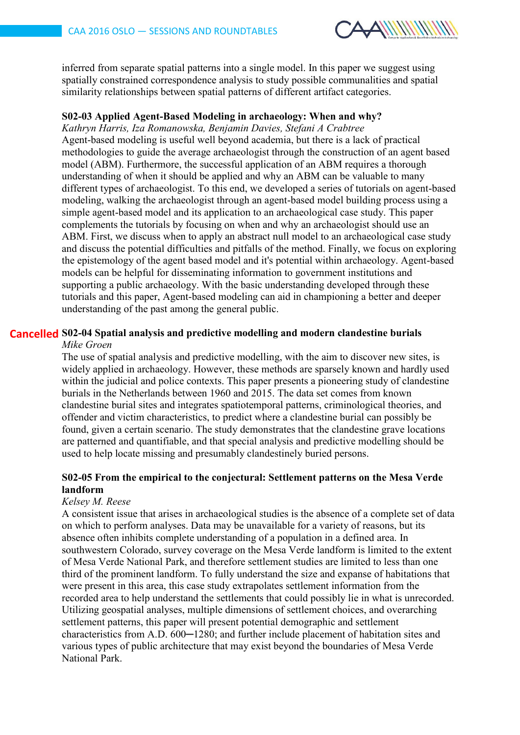

inferred from separate spatial patterns into a single model. In this paper we suggest using spatially constrained correspondence analysis to study possible communalities and spatial similarity relationships between spatial patterns of different artifact categories.

## **S02-03 Applied Agent-Based Modeling in archaeology: When and why?**

*Kathryn Harris, Iza Romanowska, Benjamin Davies, Stefani A Crabtree* Agent-based modeling is useful well beyond academia, but there is a lack of practical methodologies to guide the average archaeologist through the construction of an agent based model (ABM). Furthermore, the successful application of an ABM requires a thorough understanding of when it should be applied and why an ABM can be valuable to many different types of archaeologist. To this end, we developed a series of tutorials on agent-based modeling, walking the archaeologist through an agent-based model building process using a simple agent-based model and its application to an archaeological case study. This paper complements the tutorials by focusing on when and why an archaeologist should use an ABM. First, we discuss when to apply an abstract null model to an archaeological case study and discuss the potential difficulties and pitfalls of the method. Finally, we focus on exploring the epistemology of the agent based model and it's potential within archaeology. Agent-based models can be helpful for disseminating information to government institutions and supporting a public archaeology. With the basic understanding developed through these tutorials and this paper, Agent-based modeling can aid in championing a better and deeper understanding of the past among the general public.

#### **S02-04 Spatial analysis and predictive modelling and modern clandestine burials Cancelled***Mike Groen*

The use of spatial analysis and predictive modelling, with the aim to discover new sites, is widely applied in archaeology. However, these methods are sparsely known and hardly used within the judicial and police contexts. This paper presents a pioneering study of clandestine burials in the Netherlands between 1960 and 2015. The data set comes from known clandestine burial sites and integrates spatiotemporal patterns, criminological theories, and offender and victim characteristics, to predict where a clandestine burial can possibly be found, given a certain scenario. The study demonstrates that the clandestine grave locations are patterned and quantifiable, and that special analysis and predictive modelling should be used to help locate missing and presumably clandestinely buried persons.

# **S02-05 From the empirical to the conjectural: Settlement patterns on the Mesa Verde landform**

# *Kelsey M. Reese*

A consistent issue that arises in archaeological studies is the absence of a complete set of data on which to perform analyses. Data may be unavailable for a variety of reasons, but its absence often inhibits complete understanding of a population in a defined area. In southwestern Colorado, survey coverage on the Mesa Verde landform is limited to the extent of Mesa Verde National Park, and therefore settlement studies are limited to less than one third of the prominent landform. To fully understand the size and expanse of habitations that were present in this area, this case study extrapolates settlement information from the recorded area to help understand the settlements that could possibly lie in what is unrecorded. Utilizing geospatial analyses, multiple dimensions of settlement choices, and overarching settlement patterns, this paper will present potential demographic and settlement characteristics from A.D. 600-1280; and further include placement of habitation sites and various types of public architecture that may exist beyond the boundaries of Mesa Verde National Park.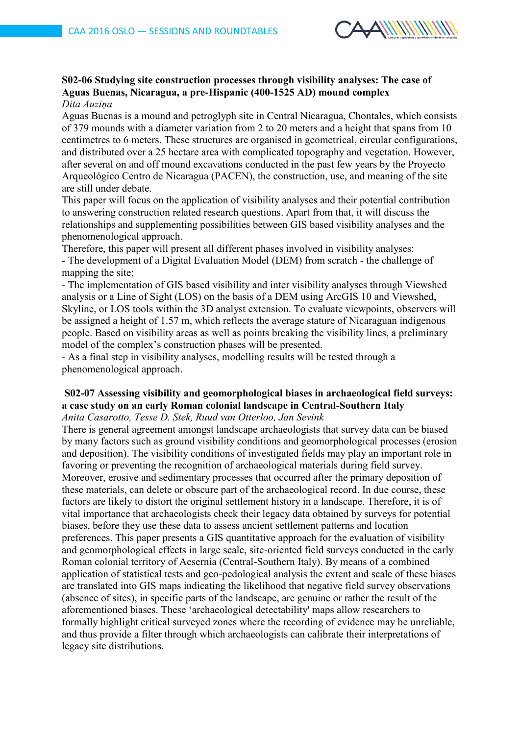

#### **S02-06 Studying site construction processes through visibility analyses: The case of Aguas Buenas, Nicaragua, a pre-Hispanic (400-1525 AD) mound complex** *Dita Auziņa*

Aguas Buenas is a mound and petroglyph site in Central Nicaragua, Chontales, which consists of 379 mounds with a diameter variation from 2 to 20 meters and a height that spans from 10 centimetres to 6 meters. These structures are organised in geometrical, circular configurations, and distributed over a 25 hectare area with complicated topography and vegetation. However, after several on and off mound excavations conducted in the past few years by the Proyecto Arqueológico Centro de Nicaragua (PACEN), the construction, use, and meaning of the site are still under debate.

This paper will focus on the application of visibility analyses and their potential contribution to answering construction related research questions. Apart from that, it will discuss the relationships and supplementing possibilities between GIS based visibility analyses and the phenomenological approach.

Therefore, this paper will present all different phases involved in visibility analyses: - The development of a Digital Evaluation Model (DEM) from scratch - the challenge of mapping the site:

- The implementation of GIS based visibility and inter visibility analyses through Viewshed analysis or a Line of Sight (LOS) on the basis of a DEM using ArcGIS 10 and Viewshed, Skyline, or LOS tools within the 3D analyst extension. To evaluate viewpoints, observers will be assigned a height of 1.57 m, which reflects the average stature of Nicaraguan indigenous people. Based on visibility areas as well as points breaking the visibility lines, a preliminary model of the complex's construction phases will be presented.

- As a final step in visibility analyses, modelling results will be tested through a phenomenological approach.

# **S02-07 Assessing visibility and geomorphological biases in archaeological field surveys: a case study on an early Roman colonial landscape in Central-Southern Italy**

*Anita Casarotto, Tesse D. Stek, Ruud van Otterloo, Jan Sevink*

There is general agreement amongst landscape archaeologists that survey data can be biased by many factors such as ground visibility conditions and geomorphological processes (erosion and deposition). The visibility conditions of investigated fields may play an important role in favoring or preventing the recognition of archaeological materials during field survey. Moreover, erosive and sedimentary processes that occurred after the primary deposition of these materials, can delete or obscure part of the archaeological record. In due course, these factors are likely to distort the original settlement history in a landscape. Therefore, it is of vital importance that archaeologists check their legacy data obtained by surveys for potential biases, before they use these data to assess ancient settlement patterns and location preferences. This paper presents a GIS quantitative approach for the evaluation of visibility and geomorphological effects in large scale, site-oriented field surveys conducted in the early Roman colonial territory of Aesernia (Central-Southern Italy). By means of a combined application of statistical tests and geo-pedological analysis the extent and scale of these biases are translated into GIS maps indicating the likelihood that negative field survey observations (absence of sites), in specific parts of the landscape, are genuine or rather the result of the aforementioned biases. These 'archaeological detectability' maps allow researchers to formally highlight critical surveyed zones where the recording of evidence may be unreliable, and thus provide a filter through which archaeologists can calibrate their interpretations of legacy site distributions.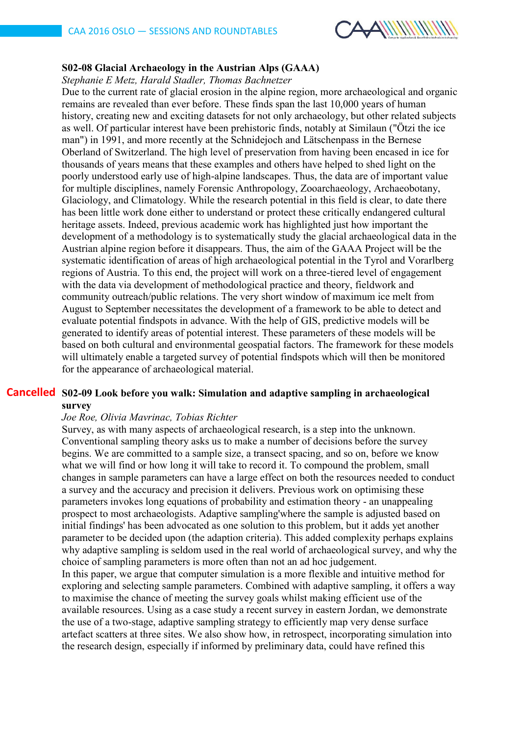

# **S02-08 Glacial Archaeology in the Austrian Alps (GAAA)**

*Stephanie E Metz, Harald Stadler, Thomas Bachnetzer*

Due to the current rate of glacial erosion in the alpine region, more archaeological and organic remains are revealed than ever before. These finds span the last 10,000 years of human history, creating new and exciting datasets for not only archaeology, but other related subjects as well. Of particular interest have been prehistoric finds, notably at Similaun ("Ötzi the ice man") in 1991, and more recently at the Schnidejoch and Lätschenpass in the Bernese Oberland of Switzerland. The high level of preservation from having been encased in ice for thousands of years means that these examples and others have helped to shed light on the poorly understood early use of high-alpine landscapes. Thus, the data are of important value for multiple disciplines, namely Forensic Anthropology, Zooarchaeology, Archaeobotany, Glaciology, and Climatology. While the research potential in this field is clear, to date there has been little work done either to understand or protect these critically endangered cultural heritage assets. Indeed, previous academic work has highlighted just how important the development of a methodology is to systematically study the glacial archaeological data in the Austrian alpine region before it disappears. Thus, the aim of the GAAA Project will be the systematic identification of areas of high archaeological potential in the Tyrol and Vorarlberg regions of Austria. To this end, the project will work on a three-tiered level of engagement with the data via development of methodological practice and theory, fieldwork and community outreach/public relations. The very short window of maximum ice melt from August to September necessitates the development of a framework to be able to detect and evaluate potential findspots in advance. With the help of GIS, predictive models will be generated to identify areas of potential interest. These parameters of these models will be based on both cultural and environmental geospatial factors. The framework for these models will ultimately enable a targeted survey of potential findspots which will then be monitored for the appearance of archaeological material.

# **S02-09 Look before you walk: Simulation and adaptive sampling in archaeological Cancelledsurvey**

### *Joe Roe, Olivia Mavrinac, Tobias Richter*

Survey, as with many aspects of archaeological research, is a step into the unknown. Conventional sampling theory asks us to make a number of decisions before the survey begins. We are committed to a sample size, a transect spacing, and so on, before we know what we will find or how long it will take to record it. To compound the problem, small changes in sample parameters can have a large effect on both the resources needed to conduct a survey and the accuracy and precision it delivers. Previous work on optimising these parameters invokes long equations of probability and estimation theory - an unappealing prospect to most archaeologists. Adaptive sampling'where the sample is adjusted based on initial findings' has been advocated as one solution to this problem, but it adds yet another parameter to be decided upon (the adaption criteria). This added complexity perhaps explains why adaptive sampling is seldom used in the real world of archaeological survey, and why the choice of sampling parameters is more often than not an ad hoc judgement. In this paper, we argue that computer simulation is a more flexible and intuitive method for exploring and selecting sample parameters. Combined with adaptive sampling, it offers a way to maximise the chance of meeting the survey goals whilst making efficient use of the available resources. Using as a case study a recent survey in eastern Jordan, we demonstrate the use of a two-stage, adaptive sampling strategy to efficiently map very dense surface artefact scatters at three sites. We also show how, in retrospect, incorporating simulation into the research design, especially if informed by preliminary data, could have refined this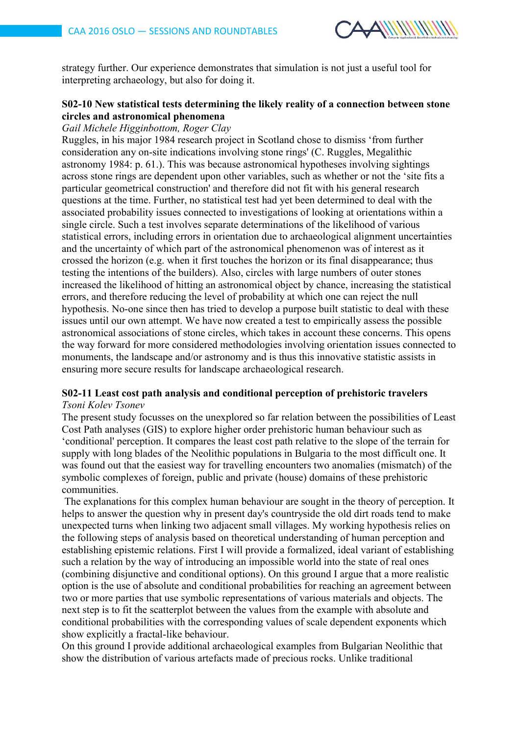

strategy further. Our experience demonstrates that simulation is not just a useful tool for interpreting archaeology, but also for doing it.

# **S02-10 New statistical tests determining the likely reality of a connection between stone circles and astronomical phenomena**

### *Gail Michele Higginbottom, Roger Clay*

Ruggles, in his major 1984 research project in Scotland chose to dismiss 'from further consideration any on-site indications involving stone rings' (C. Ruggles, Megalithic astronomy 1984: p. 61.). This was because astronomical hypotheses involving sightings across stone rings are dependent upon other variables, such as whether or not the 'site fits a particular geometrical construction' and therefore did not fit with his general research questions at the time. Further, no statistical test had yet been determined to deal with the associated probability issues connected to investigations of looking at orientations within a single circle. Such a test involves separate determinations of the likelihood of various statistical errors, including errors in orientation due to archaeological alignment uncertainties and the uncertainty of which part of the astronomical phenomenon was of interest as it crossed the horizon (e.g. when it first touches the horizon or its final disappearance; thus testing the intentions of the builders). Also, circles with large numbers of outer stones increased the likelihood of hitting an astronomical object by chance, increasing the statistical errors, and therefore reducing the level of probability at which one can reject the null hypothesis. No-one since then has tried to develop a purpose built statistic to deal with these issues until our own attempt. We have now created a test to empirically assess the possible astronomical associations of stone circles, which takes in account these concerns. This opens the way forward for more considered methodologies involving orientation issues connected to monuments, the landscape and/or astronomy and is thus this innovative statistic assists in ensuring more secure results for landscape archaeological research.

### **S02-11 Least cost path analysis and conditional perception of prehistoric travelers** *Tsoni Kolev Tsonev*

The present study focusses on the unexplored so far relation between the possibilities of Least Cost Path analyses (GIS) to explore higher order prehistoric human behaviour such as 'conditional' perception. It compares the least cost path relative to the slope of the terrain for supply with long blades of the Neolithic populations in Bulgaria to the most difficult one. It was found out that the easiest way for travelling encounters two anomalies (mismatch) of the symbolic complexes of foreign, public and private (house) domains of these prehistoric communities.

The explanations for this complex human behaviour are sought in the theory of perception. It helps to answer the question why in present day's countryside the old dirt roads tend to make unexpected turns when linking two adjacent small villages. My working hypothesis relies on the following steps of analysis based on theoretical understanding of human perception and establishing epistemic relations. First I will provide a formalized, ideal variant of establishing such a relation by the way of introducing an impossible world into the state of real ones (combining disjunctive and conditional options). On this ground I argue that a more realistic option is the use of absolute and conditional probabilities for reaching an agreement between two or more parties that use symbolic representations of various materials and objects. The next step is to fit the scatterplot between the values from the example with absolute and conditional probabilities with the corresponding values of scale dependent exponents which show explicitly a fractal-like behaviour.

On this ground I provide additional archaeological examples from Bulgarian Neolithic that show the distribution of various artefacts made of precious rocks. Unlike traditional